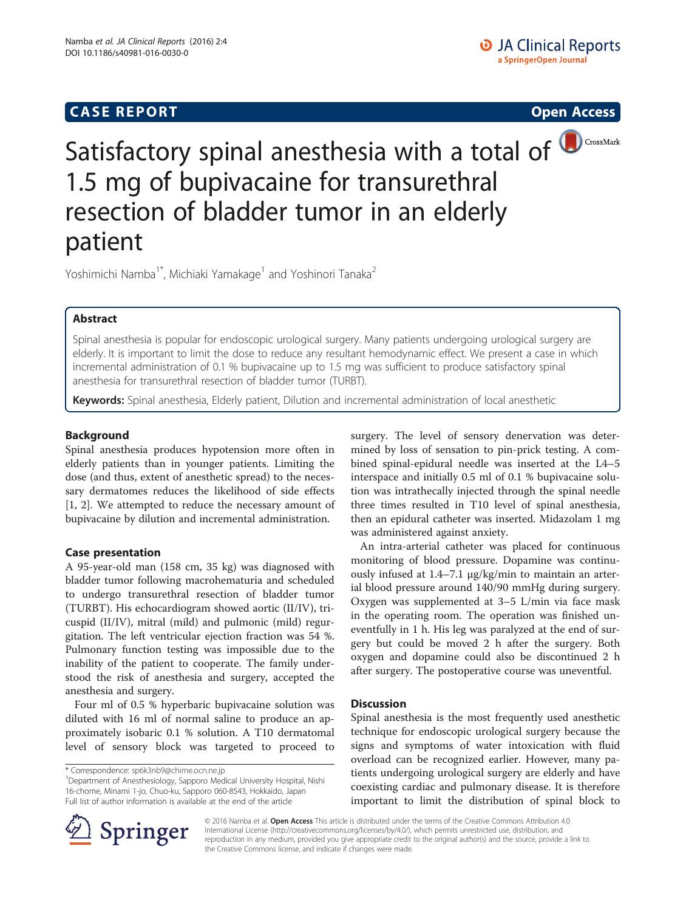# **CASE REPORT CASE REPORT CASE REPORT**





Satisfactory spinal anesthesia with a total of **D**CrossMark 1.5 mg of bupivacaine for transurethral resection of bladder tumor in an elderly patient

Yoshimichi Namba<sup>1\*</sup>, Michiaki Yamakage<sup>1</sup> and Yoshinori Tanaka<sup>2</sup>

# Abstract

Spinal anesthesia is popular for endoscopic urological surgery. Many patients undergoing urological surgery are elderly. It is important to limit the dose to reduce any resultant hemodynamic effect. We present a case in which incremental administration of 0.1 % bupivacaine up to 1.5 mg was sufficient to produce satisfactory spinal anesthesia for transurethral resection of bladder tumor (TURBT).

Keywords: Spinal anesthesia, Elderly patient, Dilution and incremental administration of local anesthetic

# Background

Spinal anesthesia produces hypotension more often in elderly patients than in younger patients. Limiting the dose (and thus, extent of anesthetic spread) to the necessary dermatomes reduces the likelihood of side effects [[1, 2](#page-1-0)]. We attempted to reduce the necessary amount of bupivacaine by dilution and incremental administration.

## Case presentation

A 95-year-old man (158 cm, 35 kg) was diagnosed with bladder tumor following macrohematuria and scheduled to undergo transurethral resection of bladder tumor (TURBT). His echocardiogram showed aortic (II/IV), tricuspid (II/IV), mitral (mild) and pulmonic (mild) regurgitation. The left ventricular ejection fraction was 54 %. Pulmonary function testing was impossible due to the inability of the patient to cooperate. The family understood the risk of anesthesia and surgery, accepted the anesthesia and surgery.

Four ml of 0.5 % hyperbaric bupivacaine solution was diluted with 16 ml of normal saline to produce an approximately isobaric 0.1 % solution. A T10 dermatomal level of sensory block was targeted to proceed to

<sup>1</sup> Department of Anesthesiology, Sapporo Medical University Hospital, Nishi 16-chome, Minami 1-jo, Chuo-ku, Sapporo 060-8543, Hokkaido, Japan Full list of author information is available at the end of the article

surgery. The level of sensory denervation was determined by loss of sensation to pin-prick testing. A combined spinal-epidural needle was inserted at the L4–5 interspace and initially 0.5 ml of 0.1 % bupivacaine solution was intrathecally injected through the spinal needle three times resulted in T10 level of spinal anesthesia, then an epidural catheter was inserted. Midazolam 1 mg was administered against anxiety.

An intra-arterial catheter was placed for continuous monitoring of blood pressure. Dopamine was continuously infused at 1.4–7.1 μg/kg/min to maintain an arterial blood pressure around 140/90 mmHg during surgery. Oxygen was supplemented at 3–5 L/min via face mask in the operating room. The operation was finished uneventfully in 1 h. His leg was paralyzed at the end of surgery but could be moved 2 h after the surgery. Both oxygen and dopamine could also be discontinued 2 h after surgery. The postoperative course was uneventful.

## **Discussion**

Spinal anesthesia is the most frequently used anesthetic technique for endoscopic urological surgery because the signs and symptoms of water intoxication with fluid overload can be recognized earlier. However, many patients undergoing urological surgery are elderly and have coexisting cardiac and pulmonary disease. It is therefore important to limit the distribution of spinal block to



© 2016 Namba et al. Open Access This article is distributed under the terms of the Creative Commons Attribution 4.0 International License ([http://creativecommons.org/licenses/by/4.0/\)](http://creativecommons.org/licenses/by/4.0/), which permits unrestricted use, distribution, and reproduction in any medium, provided you give appropriate credit to the original author(s) and the source, provide a link to the Creative Commons license, and indicate if changes were made.

<sup>\*</sup> Correspondence: [sp6k3nb9@chime.ocn.ne.jp](mailto:sp6k3nb9@chime.ocn.ne.jp) <sup>1</sup>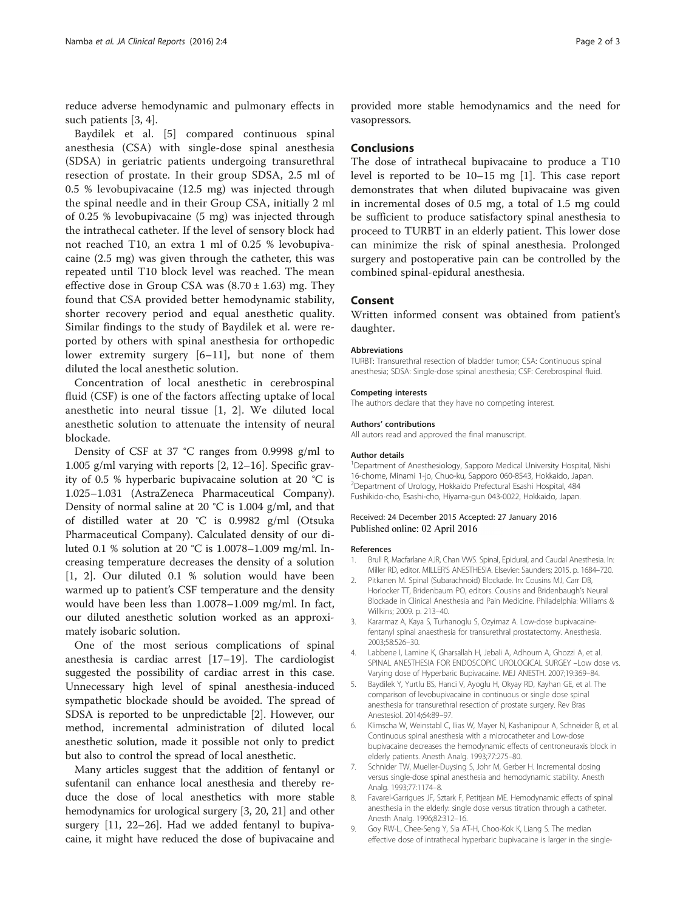<span id="page-1-0"></span>reduce adverse hemodynamic and pulmonary effects in such patients [3, 4].

Baydilek et al. [5] compared continuous spinal anesthesia (CSA) with single-dose spinal anesthesia (SDSA) in geriatric patients undergoing transurethral resection of prostate. In their group SDSA, 2.5 ml of 0.5 % levobupivacaine (12.5 mg) was injected through the spinal needle and in their Group CSA, initially 2 ml of 0.25 % levobupivacaine (5 mg) was injected through the intrathecal catheter. If the level of sensory block had not reached T10, an extra 1 ml of 0.25 % levobupivacaine (2.5 mg) was given through the catheter, this was repeated until T10 block level was reached. The mean effective dose in Group CSA was  $(8.70 \pm 1.63)$  mg. They found that CSA provided better hemodynamic stability, shorter recovery period and equal anesthetic quality. Similar findings to the study of Baydilek et al. were reported by others with spinal anesthesia for orthopedic lower extremity surgery [6–[11](#page-2-0)], but none of them diluted the local anesthetic solution.

Concentration of local anesthetic in cerebrospinal fluid (CSF) is one of the factors affecting uptake of local anesthetic into neural tissue [1, 2]. We diluted local anesthetic solution to attenuate the intensity of neural blockade.

Density of CSF at 37 °C ranges from 0.9998 g/ml to 1.005 g/ml varying with reports [2, [12](#page-2-0)–[16](#page-2-0)]. Specific gravity of 0.5 % hyperbaric bupivacaine solution at 20 °C is 1.025–1.031 (AstraZeneca Pharmaceutical Company). Density of normal saline at 20 °C is 1.004 g/ml, and that of distilled water at 20 °C is 0.9982 g/ml (Otsuka Pharmaceutical Company). Calculated density of our diluted 0.1 % solution at 20 °C is 1.0078–1.009 mg/ml. Increasing temperature decreases the density of a solution [1, 2]. Our diluted 0.1 % solution would have been warmed up to patient's CSF temperature and the density would have been less than 1.0078–1.009 mg/ml. In fact, our diluted anesthetic solution worked as an approximately isobaric solution.

One of the most serious complications of spinal anesthesia is cardiac arrest [\[17](#page-2-0)–[19\]](#page-2-0). The cardiologist suggested the possibility of cardiac arrest in this case. Unnecessary high level of spinal anesthesia-induced sympathetic blockade should be avoided. The spread of SDSA is reported to be unpredictable [2]. However, our method, incremental administration of diluted local anesthetic solution, made it possible not only to predict but also to control the spread of local anesthetic.

Many articles suggest that the addition of fentanyl or sufentanil can enhance local anesthesia and thereby reduce the dose of local anesthetics with more stable hemodynamics for urological surgery [3, [20](#page-2-0), [21\]](#page-2-0) and other surgery [[11](#page-2-0), [22](#page-2-0)–[26](#page-2-0)]. Had we added fentanyl to bupivacaine, it might have reduced the dose of bupivacaine and

provided more stable hemodynamics and the need for vasopressors.

#### Conclusions

The dose of intrathecal bupivacaine to produce a T10 level is reported to be 10–15 mg [1]. This case report demonstrates that when diluted bupivacaine was given in incremental doses of 0.5 mg, a total of 1.5 mg could be sufficient to produce satisfactory spinal anesthesia to proceed to TURBT in an elderly patient. This lower dose can minimize the risk of spinal anesthesia. Prolonged surgery and postoperative pain can be controlled by the combined spinal-epidural anesthesia.

### Consent

Written informed consent was obtained from patient's daughter.

#### **Abbreviations**

TURBT: Transurethral resection of bladder tumor; CSA: Continuous spinal anesthesia; SDSA: Single-dose spinal anesthesia; CSF: Cerebrospinal fluid.

#### Competing interests

The authors declare that they have no competing interest.

#### Authors' contributions

All autors read and approved the final manuscript.

#### Author details

<sup>1</sup>Department of Anesthesiology, Sapporo Medical University Hospital, Nishi 16-chome, Minami 1-jo, Chuo-ku, Sapporo 060-8543, Hokkaido, Japan. 2 Department of Urology, Hokkaido Prefectural Esashi Hospital, 484 Fushikido-cho, Esashi-cho, Hiyama-gun 043-0022, Hokkaido, Japan.

#### Received: 24 December 2015 Accepted: 27 January 2016 Published online: 02 April 2016

#### References

- 1. Brull R, Macfarlane AJR, Chan VWS. Spinal, Epidural, and Caudal Anesthesia. In: Miller RD, editor. MILLER'S ANESTHESIA. Elsevier: Saunders; 2015. p. 1684–720.
- 2. Pitkanen M. Spinal (Subarachnoid) Blockade. In: Cousins MJ, Carr DB, Horlocker TT, Bridenbaum PO, editors. Cousins and Bridenbaugh's Neural Blockade in Clinical Anesthesia and Pain Medicine. Philadelphia: Williams & Willkins; 2009. p. 213–40.
- 3. Kararmaz A, Kaya S, Turhanoglu S, Ozyimaz A. Low-dose bupivacainefentanyl spinal anaesthesia for transurethral prostatectomy. Anesthesia. 2003;58:526–30.
- 4. Labbene I, Lamine K, Gharsallah H, Jebali A, Adhoum A, Ghozzi A, et al. SPINAL ANESTHESIA FOR ENDOSCOPIC UROLOGICAL SURGEY –Low dose vs. Varying dose of Hyperbaric Bupivacaine. MEJ ANESTH. 2007;19:369–84.
- 5. Baydilek Y, Yurtlu BS, Hanci V, Ayoglu H, Okyay RD, Kayhan GE, et al. The comparison of levobupivacaine in continuous or single dose spinal anesthesia for transurethral resection of prostate surgery. Rev Bras Anestesiol. 2014;64:89–97.
- 6. Klimscha W, Weinstabl C, Ilias W, Mayer N, Kashanipour A, Schneider B, et al. Continuous spinal anesthesia with a microcatheter and Low-dose bupivacaine decreases the hemodynamic effects of centroneuraxis block in elderly patients. Anesth Analg. 1993;77:275–80.
- 7. Schnider TW, Mueller-Duysing S, Johr M, Gerber H. Incremental dosing versus single-dose spinal anesthesia and hemodynamic stability. Anesth Analg. 1993;77:1174–8.
- 8. Favarel-Garrigues JF, Sztark F, Petitjean ME. Hemodynamic effects of spinal anesthesia in the elderly: single dose versus titration through a catheter. Anesth Analg. 1996;82:312–16.
- 9. Goy RW-L, Chee-Seng Y, Sia AT-H, Choo-Kok K, Liang S. The median effective dose of intrathecal hyperbaric bupivacaine is larger in the single-